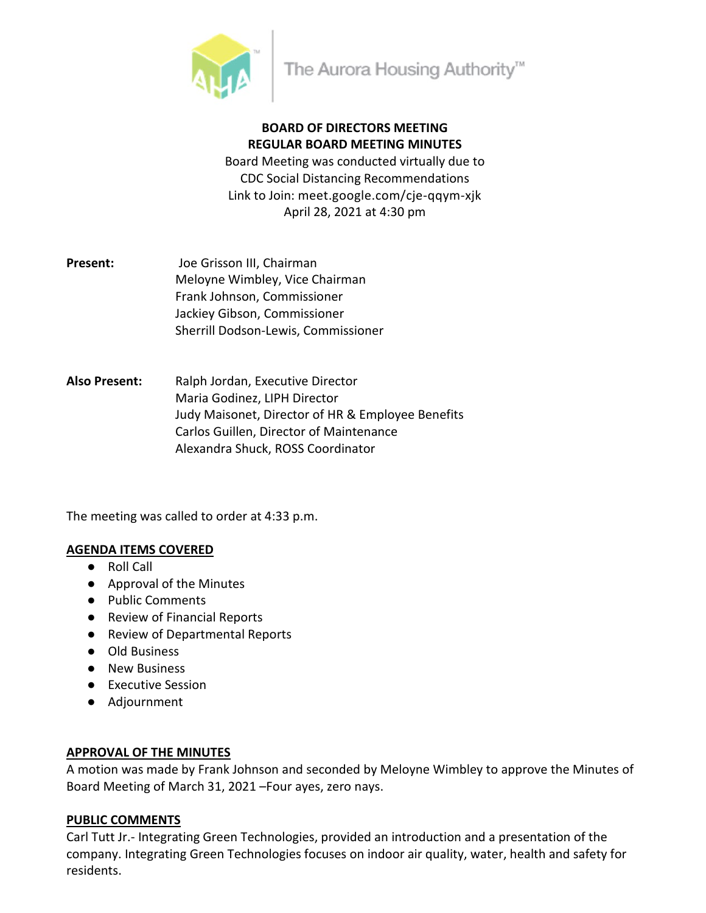

# **BOARD OF DIRECTORS MEETING REGULAR BOARD MEETING MINUTES**

Board Meeting was conducted virtually due to CDC Social Distancing Recommendations Link to Join: meet.google.com/cje-qqym-xjk April 28, 2021 at 4:30 pm

- **Present:** Joe Grisson III, Chairman Meloyne Wimbley, Vice Chairman Frank Johnson, Commissioner Jackiey Gibson, Commissioner Sherrill Dodson-Lewis, Commissioner
- **Also Present:** Ralph Jordan, Executive Director Maria Godinez, LIPH Director Judy Maisonet, Director of HR & Employee Benefits Carlos Guillen, Director of Maintenance Alexandra Shuck, ROSS Coordinator

The meeting was called to order at 4:33 p.m.

## **AGENDA ITEMS COVERED**

- Roll Call
- Approval of the Minutes
- Public Comments
- Review of Financial Reports
- Review of Departmental Reports
- Old Business
- New Business
- Executive Session
- Adjournment

## **APPROVAL OF THE MINUTES**

A motion was made by Frank Johnson and seconded by Meloyne Wimbley to approve the Minutes of Board Meeting of March 31, 2021 –Four ayes, zero nays.

# **PUBLIC COMMENTS**

Carl Tutt Jr.- Integrating Green Technologies, provided an introduction and a presentation of the company. Integrating Green Technologies focuses on indoor air quality, water, health and safety for residents.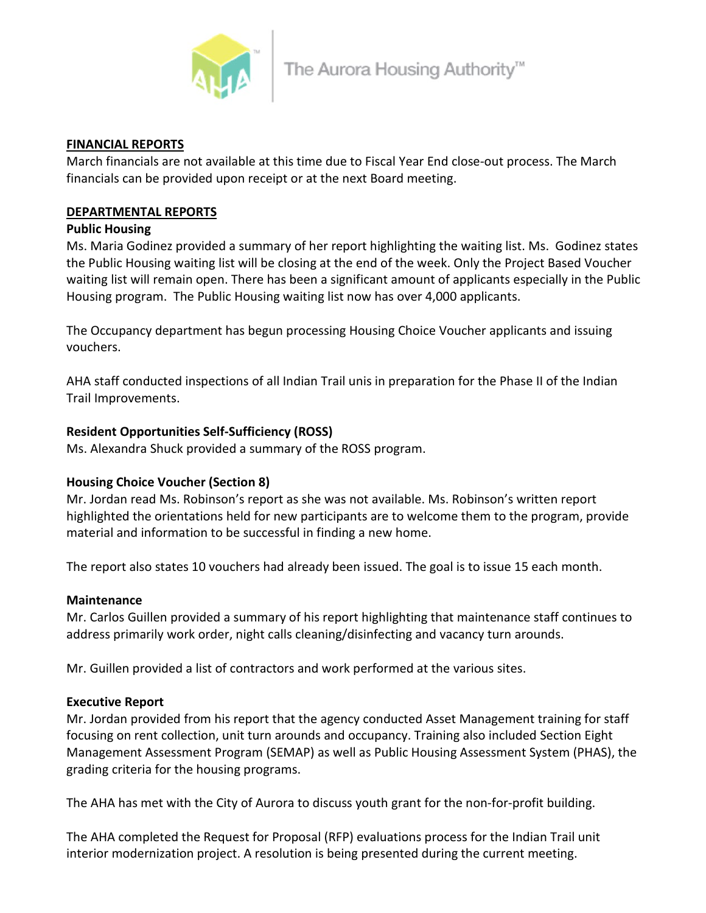

## **FINANCIAL REPORTS**

March financials are not available at this time due to Fiscal Year End close-out process. The March financials can be provided upon receipt or at the next Board meeting.

# **DEPARTMENTAL REPORTS**

# **Public Housing**

Ms. Maria Godinez provided a summary of her report highlighting the waiting list. Ms. Godinez states the Public Housing waiting list will be closing at the end of the week. Only the Project Based Voucher waiting list will remain open. There has been a significant amount of applicants especially in the Public Housing program. The Public Housing waiting list now has over 4,000 applicants.

The Occupancy department has begun processing Housing Choice Voucher applicants and issuing vouchers.

AHA staff conducted inspections of all Indian Trail unis in preparation for the Phase II of the Indian Trail Improvements.

# **Resident Opportunities Self-Sufficiency (ROSS)**

Ms. Alexandra Shuck provided a summary of the ROSS program.

# **Housing Choice Voucher (Section 8)**

Mr. Jordan read Ms. Robinson's report as she was not available. Ms. Robinson's written report highlighted the orientations held for new participants are to welcome them to the program, provide material and information to be successful in finding a new home.

The report also states 10 vouchers had already been issued. The goal is to issue 15 each month.

## **Maintenance**

Mr. Carlos Guillen provided a summary of his report highlighting that maintenance staff continues to address primarily work order, night calls cleaning/disinfecting and vacancy turn arounds.

Mr. Guillen provided a list of contractors and work performed at the various sites.

# **Executive Report**

Mr. Jordan provided from his report that the agency conducted Asset Management training for staff focusing on rent collection, unit turn arounds and occupancy. Training also included Section Eight Management Assessment Program (SEMAP) as well as Public Housing Assessment System (PHAS), the grading criteria for the housing programs.

The AHA has met with the City of Aurora to discuss youth grant for the non-for-profit building.

The AHA completed the Request for Proposal (RFP) evaluations process for the Indian Trail unit interior modernization project. A resolution is being presented during the current meeting.